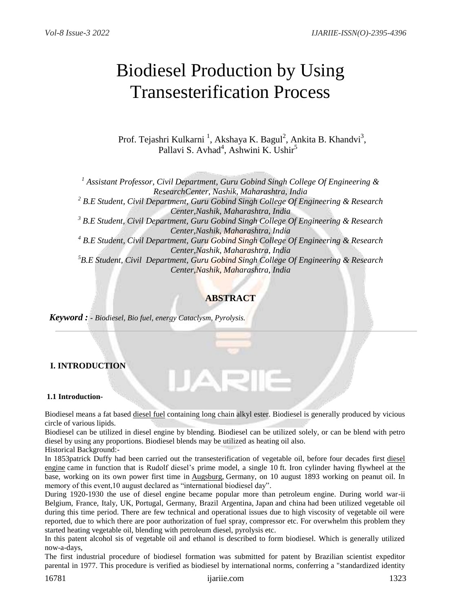# Biodiesel Production by Using Transesterification Process

Prof. Tejashri Kulkarni <sup>1</sup>, Akshaya K. Bagul<sup>2</sup>, Ankita B. Khandvi<sup>3</sup>, Pallavi S. Avhad<sup>4</sup>, Ashwini K. Ushir<sup>5</sup>

*<sup>1</sup> Assistant Professor, Civil Department, Guru Gobind Singh College Of Engineering & ResearchCenter, Nashik, Maharashtra, India <sup>2</sup> B.E Student, Civil Department, Guru Gobind Singh College Of Engineering & Research Center,Nashik, Maharashtra, India <sup>3</sup> B.E Student, Civil Department, Guru Gobind Singh College Of Engineering & Research Center,Nashik, Maharashtra, India <sup>4</sup> B.E Student, Civil Department, Guru Gobind Singh College Of Engineering & Research Center,Nashik, Maharashtra, India <sup>5</sup>B.E Student, Civil Department, Guru Gobind Singh College Of Engineering & Research Center,Nashik, Maharashtra, India*

# **ABSTRACT**

 *Keyword : - Biodiesel, Bio fuel, energy Cataclysm, Pyrolysis.*

# **I. INTRODUCTION**

#### **1.1 Introduction-**

Biodiesel means a fat based [diesel](https://en.wikipedia.org/wiki/Diesel_fuel) fuel containing long chain alkyl ester. Biodiesel is generally produced by vicious circle of various lipids.

W

Biodiesel can be utilized in diesel engine by blending. Biodiesel can be utilized solely, or can be blend with petro diesel by using any proportions. Biodiesel blends may be utilized as heating oil also.

Historical Background:-

In 1853patrick Duffy had been carried out the transesterification of vegetable oil, before four decades first [diesel](https://en.wikipedia.org/wiki/Diesel_engine)  [engine](https://en.wikipedia.org/wiki/Diesel_engine) came in function that is Rudolf diesel's prime model, a single 10 ft. Iron cylinder having flywheel at the base, working on its own power first time in [Augsburg,](https://en.wikipedia.org/wiki/Augsburg) Germany, on 10 august 1893 working on peanut oil. In memory of this event,10 august declared as "international biodiesel day".

During 1920-1930 the use of diesel engine became popular more than petroleum engine. During world war-ii Belgium, France, Italy, UK, Portugal, Germany, Brazil Argentina, Japan and china had been utilized vegetable oil during this time period. There are few technical and operational issues due to high viscosity of vegetable oil were reported, due to which there are poor authorization of fuel spray, compressor etc. For overwhelm this problem they started heating vegetable oil, blending with petroleum diesel, pyrolysis etc.

In this patent alcohol sis of vegetable oil and ethanol is described to form biodiesel. Which is generally utilized now-a-days,

The first industrial procedure of biodiesel formation was submitted for patent by Brazilian scientist expeditor parental in 1977. This procedure is verified as biodiesel by international norms, conferring a "standardized identity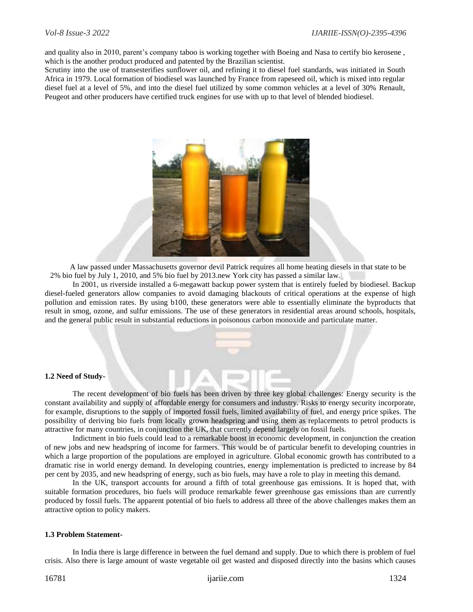and quality also in 2010, parent's company taboo is working together with Boeing and Nasa to certify bio kerosene , which is the another product produced and patented by the Brazilian scientist.

Scrutiny into the use of transesterifies sunflower oil, and refining it to diesel fuel standards, was initiated in South Africa in 1979. Local formation of biodiesel was launched by France from rapeseed oil, which is mixed into regular diesel fuel at a level of 5%, and into the diesel fuel utilized by some common vehicles at a level of 30% Renault, Peugeot and other producers have certified truck engines for use with up to that level of blended biodiesel.



 A law passed under Massachusetts governor devil Patrick requires all home heating diesels in that state to be 2% bio fuel by July 1, 2010, and 5% bio fuel by 2013.new York city has passed a similar law.

In 2001, us riverside installed a 6-megawatt backup power system that is entirely fueled by biodiesel. Backup diesel-fueled generators allow companies to avoid damaging blackouts of critical operations at the expense of high pollution and emission rates. By using b100, these generators were able to essentially eliminate the byproducts that result in smog, ozone, and sulfur emissions. The use of these generators in residential areas around schools, hospitals, and the general public result in substantial reductions in poisonous carbon monoxide and particulate matter.

#### **1.2 Need of Study-**

The recent development of bio fuels has been driven by three key global challenges: Energy security is the constant availability and supply of affordable energy for consumers and industry. Risks to energy security incorporate, for example, disruptions to the supply of imported fossil fuels, limited availability of fuel, and energy price spikes. The possibility of deriving bio fuels from locally grown headspring and using them as replacements to petrol products is attractive for many countries, in conjunction the UK, that currently depend largely on fossil fuels.

Indictment in bio fuels could lead to a remarkable boost in economic development, in conjunction the creation of new jobs and new headspring of income for farmers. This would be of particular benefit to developing countries in which a large proportion of the populations are employed in agriculture. Global economic growth has contributed to a dramatic rise in world energy demand. In developing countries, energy implementation is predicted to increase by 84 per cent by 2035, and new headspring of energy, such as bio fuels, may have a role to play in meeting this demand.

In the UK, transport accounts for around a fifth of total greenhouse gas emissions. It is hoped that, with suitable formation procedures, bio fuels will produce remarkable fewer greenhouse gas emissions than are currently produced by fossil fuels. The apparent potential of bio fuels to address all three of the above challenges makes them an attractive option to policy makers.

#### **1.3 Problem Statement-**

In India there is large difference in between the fuel demand and supply. Due to which there is problem of fuel crisis. Also there is large amount of waste vegetable oil get wasted and disposed directly into the basins which causes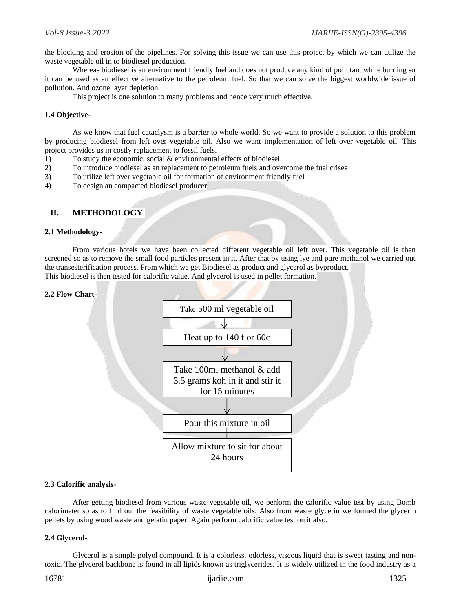the blocking and erosion of the pipelines. For solving this issue we can use this project by which we can utilize the waste vegetable oil in to biodiesel production.

Whereas biodiesel is an environment friendly fuel and does not produce any kind of pollutant while burning so it can be used as an effective alternative to the petroleum fuel. So that we can solve the biggest worldwide issue of pollution. And ozone layer depletion.

This project is one solution to many problems and hence very much effective.

### **1.4 Objective-**

As we know that fuel cataclysm is a barrier to whole world. So we want to provide a solution to this problem by producing biodiesel from left over vegetable oil. Also we want implementation of left over vegetable oil. This project provides us in costly replacement to fossil fuels.

- 1) To study the economic, social & environmental effects of biodiesel
- 2) To introduce biodiesel as an replacement to petroleum fuels and overcome the fuel crises
- 3) To utilize left over vegetable oil for formation of environment friendly fuel
- 4) To design an compacted biodiesel producer

# **II. METHODOLOGY**

#### **2.1 Methodology-**

From various hotels we have been collected different vegetable oil left over. This vegetable oil is then screened so as to remove the small food particles present in it. After that by using lye and pure methanol we carried out the transesterification process. From which we get Biodiesel as product and glycerol as byproduct. This biodiesel is then tested for calorific value. And glycerol is used in pellet formation.

#### **2.2 Flow Chart-**



#### **2.3 Calorific analysis-**

After getting biodiesel from various waste vegetable oil, we perform the calorific value test by using Bomb calorimeter so as to find out the feasibility of waste vegetable oils. Also from waste glycerin we formed the glycerin pellets by using wood waste and gelatin paper. Again perform calorific value test on it also.

## **2.4 Glycerol-**

Glycerol is a simple [polyol](https://en.wikipedia.org/wiki/Polyol) compound. It is a colorless, odorless, [viscous](https://en.wikipedia.org/wiki/Viscous) liquid that is sweet tasting and nontoxic. The glycerol backbone is found in all [lipids](https://en.wikipedia.org/wiki/Lipid) known as [triglycerides.](https://en.wikipedia.org/wiki/Triglycerides) It is widely utilized in the food industry as a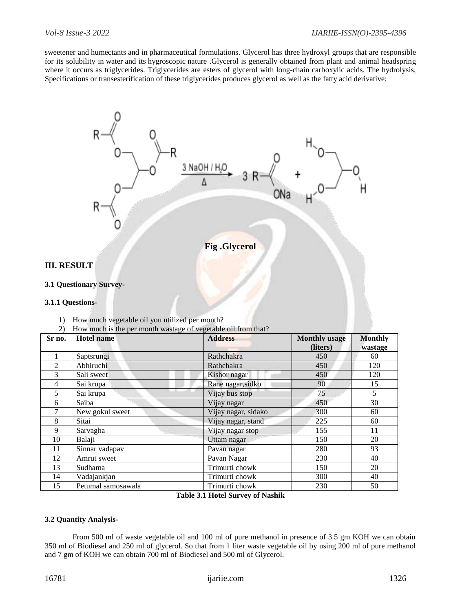sweetener and [humectants](https://en.wikipedia.org/wiki/Humectant) and in [pharmaceutical formulations.](https://en.wikipedia.org/wiki/Pharmaceutical_formulation) Glycerol has three [hydroxyl groups](https://en.wikipedia.org/wiki/Hydroxyl_group) that are responsible for its solubility in [water](https://en.wikipedia.org/wiki/Water) and its [hygroscopic](https://en.wikipedia.org/wiki/Hygroscopy) nature .Glycerol is generally obtained from plant and animal headspring where it occurs as [triglycerides.](https://en.wikipedia.org/wiki/Triglyceride) Triglycerides are [esters](https://en.wikipedia.org/wiki/Ester) of glycerol with long-chain carboxylic acids. The hydrolysis, [Specifications](https://en.wikipedia.org/wiki/Saponification) or [transesterification](https://en.wikipedia.org/wiki/Transesterification) of these triglycerides produces glycerol as well as the fatty acid derivative:



# **III. RESULT**

#### **3.1 Questionary Survey-**

#### **3.1.1 Questions-**

- 1) How much vegetable oil you utilized per month?
- 2) How much is the per month wastage of vegetable oil from that?

| Sr no.         | <b>Hotel name</b>  | <b>Address</b>      | <b>Monthly usage</b><br>(liters) | <b>Monthly</b><br>wastage |
|----------------|--------------------|---------------------|----------------------------------|---------------------------|
|                | Saptsrungi         | Rathchakra          | 450                              | 60                        |
| $\overline{c}$ | Abhiruchi          | Rathchakra          | 450                              | 120                       |
| 3              | Sali sweet         | Kishor nagar        | 450                              | 120                       |
| $\overline{4}$ | Sai krupa          | Rane nagar, sidko   | 90                               | 15                        |
| 5              | Sai krupa          | Vijay bus stop      | 75                               | 5                         |
| 6              | Saiba              | Vijay nagar         | 450                              | 30                        |
| 7              | New gokul sweet    | Vijay nagar, sidako | 300                              | 60                        |
| 8              | Sitai              | Vijay nagar, stand  | 225                              | 60                        |
| 9              | Sarvagha           | Vijay nagar stop    | 155                              | 11                        |
| 10             | Balaji             | Uttam nagar         | 150                              | 20                        |
| 11             | Sinnar vadapav     | Pavan nagar         | 280                              | 93                        |
| 12             | Amrut sweet        | Pavan Nagar         | 230                              | 40                        |
| 13             | Sudhama            | Trimurti chowk      | 150                              | 20                        |
| 14             | Vadajankjan        | Trimurti chowk      | 300                              | 40                        |
| 15             | Petumal samosawala | Trimurti chowk      | 230                              | 50                        |

#### **Table 3.1 Hotel Survey of Nashik**

#### **3.2 Quantity Analysis-**

From 500 ml of waste vegetable oil and 100 ml of pure methanol in presence of 3.5 gm KOH we can obtain 350 ml of Biodiesel and 250 ml of glycerol. So that from 1 liter waste vegetable oil by using 200 ml of pure methanol and 7 gm of KOH we can obtain 700 ml of Biodiesel and 500 ml of Glycerol.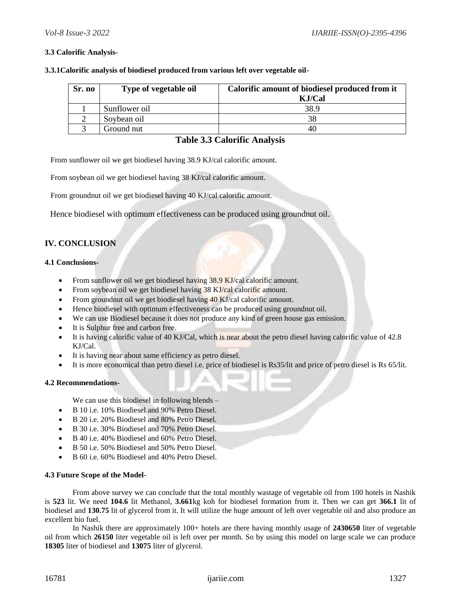### **3.3 Calorific Analysis-**

**3.3.1Calorific analysis of biodiesel produced from various left over vegetable oil-**

| Sr. no | Type of vegetable oil | Calorific amount of biodiesel produced from it<br>KJ/Cal |
|--------|-----------------------|----------------------------------------------------------|
|        | Sunflower oil         | 38.9                                                     |
|        | Soybean oil           |                                                          |
|        | Ground nut            | 40                                                       |

# **Table 3.3 Calorific Analysis**

From sunflower oil we get biodiesel having 38.9 KJ/cal calorific amount.

From soybean oil we get biodiesel having 38 KJ/cal calorific amount.

From groundnut oil we get biodiesel having 40 KJ/cal calorific amount.

Hence biodiesel with optimum effectiveness can be produced using groundnut oil.

# **IV. CONCLUSION**

#### **4.1 Conclusions-**

- From sunflower oil we get biodiesel having 38.9 KJ/cal calorific amount.
- From soybean oil we get biodiesel having  $38 \text{ KJ/cal}$  calorific amount.
- From groundnut oil we get biodiesel having  $40 \text{ KJ/cal}$  calorific amount.
- Hence biodiesel with optimum effectiveness can be produced using groundnut oil.
- We can use Biodiesel because it does not produce any kind of green house gas emission.
- It is Sulphur free and carbon free.
- It is having calorific value of 40 KJ/Cal, which is near about the petro diesel having calorific value of 42.8 KJ/Cal.
- It is having near about same efficiency as petro diesel.
- It is more economical than petro diesel i.e. price of biodiesel is Rs35/lit and price of petro diesel is Rs 65/lit.

#### **4.2 Recommendations-**

We can use this biodiesel in following blends –

- B 10 i.e. 10% Biodiesel and 90% Petro Diesel.
- B 20 i.e. 20% Biodiesel and 80% Petro Diesel.
- B 30 i.e. 30% Biodiesel and 70% Petro Diesel.
- B 40 i.e. 40% Biodiesel and 60% Petro Diesel.
- B 50 i.e. 50% Biodiesel and 50% Petro Diesel.
- B 60 i.e. 60% Biodiesel and 40% Petro Diesel.

#### **4.3 Future Scope of the Model-**

From above survey we can conclude that the total monthly wastage of vegetable oil from 100 hotels in Nashik is **523** lit. We need **104.6** lit Methanol, **3.661**kg koh for biodiesel formation from it. Then we can get **366.1** lit of biodiesel and **130.75** lit of glycerol from it. It will utilize the huge amount of left over vegetable oil and also produce an excellent bio fuel.

In Nashik there are approximately 100+ hotels are there having monthly usage of **2430650** liter of vegetable oil from which **26150** liter vegetable oil is left over per month. So by using this model on large scale we can produce **18305** liter of biodiesel and **13075** liter of glycerol.